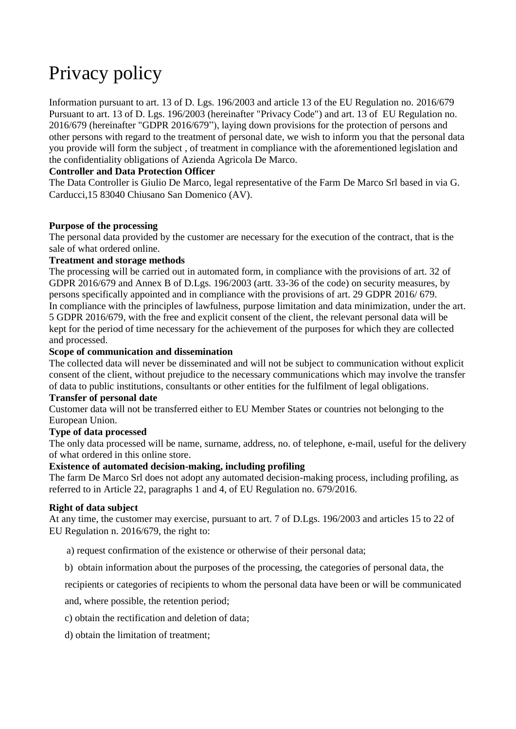# Privacy policy

[Information pursuant to art. 13 of D. Lgs. 196/2003 and article 13 of the EU Regulation no.](https://www.reverso.net/translationresults.aspx?lang=IT&sourcetext=Informativa%20ai%20sensi%20dell%E2%80%99art.%2013%20del%20D.%20Lgs.%20196/2003%20e%20dell%E2%80%99articolo%2013%20del%20Regolamento%20UE%20n.%202016/679&action_form=translate&direction_translation=ita-eng-7) 2016/679 [Pursuant to art. 13 of D. Lgs. 196/2003 \(hereinafter "Privacy Code"\) and art. 13 of](https://www.reverso.net/translationresults.aspx?lang=IT&sourcetext=Ai%20sensi%20dell%E2%80%99art.%2013%20del%20D.%20Lgs.%20196/2003%20(di%20seguito%20%E2%80%9CCodice%20Privacy%E2%80%9D)%20e%20dell%E2%80%99art.%2013%20del%20Regolamento&action_form=translate&direction_translation=ita-eng-7) EU Regulation no. 2016/679 (hereinafter "GDPR 2016/679"), [laying down provisions for the protection of persons and](https://www.reverso.net/translationresults.aspx?lang=IT&sourcetext=recante%20disposizioni%20a%20tutela%20delle%20persone%20e%20di%20altri%20soggetti%20rispetto%20al%20trattamento%20dei%20dati%20personali&action_form=translate&direction_translation=ita-eng-7)  [other persons with regard to the treatment of](https://www.reverso.net/translationresults.aspx?lang=IT&sourcetext=recante%20disposizioni%20a%20tutela%20delle%20persone%20e%20di%20altri%20soggetti%20rispetto%20al%20trattamento%20dei%20dati%20personali&action_form=translate&direction_translation=ita-eng-7) personal date, we wish to inform you that the personal data you provide will form the subject , of treatment in compliance with the aforementioned legislation and the confidentiality obligations of Azienda Agricola De Marco.

# **Controller and Data Protection Officer**

[The Data Controller is Giulio De Marco, legal representative of the Farm](https://www.reverso.net/translationresults.aspx?lang=IT&sourcetext=Il%20Titolare%20del%20trattamento%20%C3%A8%20Giulio%20De%20Marco%20Srl,%20legale%20rappresentante%20dell%E2%80%99Azienda%20Agricola%20De%20Marco&action_form=translate&direction_translation=ita-eng-7) De Marco Srl based in via G. Carducci,15 83040 Chiusano San Domenico (AV).

# **Purpose of the processing**

The personal data provided by the customer are necessary for the execution of the contract, that is the sale of what ordered online.

## **Treatment and storage methods**

[The processing will be carried out in automated form, in compliance with the provisions of art. 32](https://www.reverso.net/translationresults.aspx?lang=IT&sourcetext=Il%20trattamento%20sar%C3%A0%20svolto%20in%20forma%20automatizzata,%20nel%20rispetto%20di%20quanto%20previsto%20dall%E2%80%99art.%2032%20del&action_form=translate&direction_translation=ita-eng-7) of GDPR 2016/679 and Annex B of D.Lgs. 196/2003 (artt. 33-36 of the code) on security measures, by persons specifically appointed and in compliance with the provisions of art. 29 GDPR 2016/ 679. In compliance with the principles of lawfulness, purpose limitation and data minimization, under the art. 5 GDPR 2016/679, with the free and explicit consent of the client, the relevant personal data will be kept for the period of time necessary for the achievement of the purposes for which they are collected and processed.

## **Scope of communication and dissemination**

The collected data will never be disseminated and will not be subject to communication without explicit consent of the client, [without prejudice to the necessary communications which may involve the transfer](https://www.reverso.net/translationresults.aspx?lang=IT&sourcetext=salvo%20le%20comunicazioni%20necessarie%20che%20possono%20comportare%20il%20trasferimento%20di%20dati%20ad%20enti%20pubblici&action_form=translate&direction_translation=ita-eng-7)  [of data to public institutions,](https://www.reverso.net/translationresults.aspx?lang=IT&sourcetext=salvo%20le%20comunicazioni%20necessarie%20che%20possono%20comportare%20il%20trasferimento%20di%20dati%20ad%20enti%20pubblici&action_form=translate&direction_translation=ita-eng-7) consultants or other entities for the fulfilment of legal obligations.

#### **Transfer of personal date**

[Customer data will not be transferred either to EU Member States or countries](https://www.reverso.net/translationresults.aspx?lang=IT&sourcetext=I%20dati%20del%20cliente%20non%20saranno%20trasferiti%20n%C3%A9%20in%20Stati%20membri%20dell%E2%80%99Unione%20Europea%20n%C3%A9%20in%20Paesi%20terzi&action_form=translate&direction_translation=ita-eng-7) not belonging to the European Union.

# **Type of data processed**

The only data processed will be name, surname, address, no. of telephone, e-mail, useful for the delivery of what ordered in this online store.

#### **Existence of automated decision-making, including profiling**

The farm De Marco Srl does not adopt any automated decision-making process, [including profiling, as](https://www.reverso.net/translationresults.aspx?lang=IT&sourcetext=compresa%20la%20profilazione,%20di%20cui%20all%E2%80%99articolo%2022,%20paragrafi%201%20e%204,%20del%20Regolamento%20UE%20n.%20679/2016.&action_form=translate&direction_translation=ita-eng-7)  [referred to in Article 22, paragraphs 1 and 4, of EU Regulation no.](https://www.reverso.net/translationresults.aspx?lang=IT&sourcetext=compresa%20la%20profilazione,%20di%20cui%20all%E2%80%99articolo%2022,%20paragrafi%201%20e%204,%20del%20Regolamento%20UE%20n.%20679/2016.&action_form=translate&direction_translation=ita-eng-7) 679/2016.

# **Right of data subject**

At any time, the customer may exercise, pursuant to art. 7 of D.Lgs. 196/2003 and articles 15 to 22 of EU Regulation n. 2016/679, the right to:

- a) request confirmation of the existence or otherwise of their personal data;
- b) obtain information about the purposes of the processing, the categories of personal data, [the](https://www.reverso.net/translationresults.aspx?lang=IT&sourcetext=i%20destinatari%20o%20le%20categorie%20di%20destinatari%20a%20cui%20i%20dati%20personali%20sono%20stati%20o%20saranno%20comunicati%20e&action_form=translate&direction_translation=ita-eng-7)

[recipients or categories of recipients to whom the personal data have been or will be](https://www.reverso.net/translationresults.aspx?lang=IT&sourcetext=i%20destinatari%20o%20le%20categorie%20di%20destinatari%20a%20cui%20i%20dati%20personali%20sono%20stati%20o%20saranno%20comunicati%20e&action_form=translate&direction_translation=ita-eng-7) communicated

and, where possible, the retention period;

- c) obtain the rectification and deletion of data;
- d) obtain the limitation of treatment;